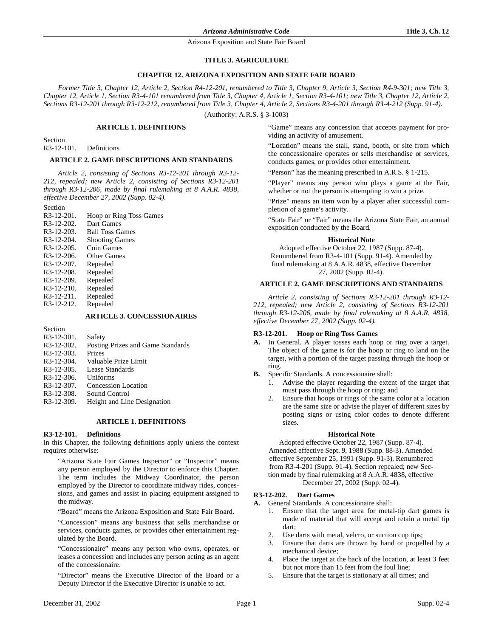# **TITLE 3. AGRICULTURE**

# **CHAPTER 12. ARIZONA EXPOSITION AND STATE FAIR BOARD**

*Former Title 3, Chapter 12, Article 2, Section R4-12-201, renumbered to Title 3, Chapter 9, Article 3, Section R4-9-301; new Title 3, Chapter 12, Article 1, Section R3-4-101 renumbered from Title 3, Chapter 4, Article 1, Section R3-4-101; new Title 3, Chapter 12, Article 2, Sections R3-12-201 through R3-12-212, renumbered from Title 3, Chapter 4, Article 2, Sections R3-4-201 through R3-4-212 (Supp. 91-4).*

(Authority: A.R.S. § 3-1003)

# **ARTICLE 1. DEFINITIONS**

Section

R3-12-101. Definitions

# **ARTICLE 2. GAME DESCRIPTIONS AND STANDARDS**

*Article 2, consisting of Sections R3-12-201 through R3-12- 212, repealed; new Article 2, consisting of Sections R3-12-201 through R3-12-206, made by final rulemaking at 8 A.A.R. 4838, effective December 27, 2002 (Supp. 02-4).*

Section

| $R3-12-201$ .           | <b>Hoop or Ring Toss Games</b> |
|-------------------------|--------------------------------|
| $R3-12-202$ .           | Dart Games                     |
| R <sub>3</sub> -12-203. | <b>Ball Toss Games</b>         |
| R <sub>3</sub> -12-204. | <b>Shooting Games</b>          |
| $R3-12-205$ .           | Coin Games                     |
| $R3-12-206$ .           | Other Games                    |
| $R3-12-207$ .           | Repealed                       |
| $R3-12-208$ .           | Repealed                       |
| R <sub>3</sub> -12-209. | Repealed                       |
| $R3-12-210$ .           | Repealed                       |
| $R3-12-211$ .           | Repealed                       |
| R <sub>3</sub> -12-212. | Repealed                       |
|                         |                                |

# **ARTICLE 3. CONCESSIONAIRES**

| Section                 |                                   |
|-------------------------|-----------------------------------|
| R3-12-301.              | Safety                            |
| R <sub>3</sub> -12-302. | Posting Prizes and Game Standards |
| R <sub>3</sub> -12-303. | Prizes                            |
| R <sub>3</sub> -12-304. | Valuable Prize Limit              |
| R <sub>3</sub> -12-305. | Lease Standards                   |
| R <sub>3</sub> -12-306. | Uniforms                          |
| R <sub>3</sub> -12-307. | <b>Concession Location</b>        |
| R3-12-308.              | Sound Control                     |
| R3-12-309.              | Height and Line Designation       |
|                         |                                   |

# **ARTICLE 1. DEFINITIONS**

# **R3-12-101. Definitions**

In this Chapter, the following definitions apply unless the context requires otherwise:

"Arizona State Fair Games Inspector" or "Inspector" means any person employed by the Director to enforce this Chapter. The term includes the Midway Coordinator, the person employed by the Director to coordinate midway rides, concessions, and games and assist in placing equipment assigned to the midway.

"Board" means the Arizona Exposition and State Fair Board.

"Concession" means any business that sells merchandise or services, conducts games, or provides other entertainment regulated by the Board.

"Concessionaire" means any person who owns, operates, or leases a concession and includes any person acting as an agent of the concessionaire.

"Director" means the Executive Director of the Board or a Deputy Director if the Executive Director is unable to act.

"Game" means any concession that accepts payment for providing an activity of amusement.

"Location" means the stall, stand, booth, or site from which the concessionaire operates or sells merchandise or services, conducts games, or provides other entertainment.

"Person" has the meaning prescribed in A.R.S. § 1-215.

"Player" means any person who plays a game at the Fair, whether or not the person is attempting to win a prize.

"Prize" means an item won by a player after successful completion of a game's activity.

"State Fair" or "Fair" means the Arizona State Fair, an annual exposition conducted by the Board.

#### **Historical Note**

Adopted effective October 22, 1987 (Supp. 87-4). Renumbered from R3-4-101 (Supp. 91-4). Amended by final rulemaking at 8 A.A.R. 4838, effective December 27, 2002 (Supp. 02-4).

#### **ARTICLE 2. GAME DESCRIPTIONS AND STANDARDS**

*Article 2, consisting of Sections R3-12-201 through R3-12- 212, repealed; new Article 2, consisting of Sections R3-12-201 through R3-12-206, made by final rulemaking at 8 A.A.R. 4838, effective December 27, 2002 (Supp. 02-4).*

# **R3-12-201. Hoop or Ring Toss Games**

- **A.** In General. A player tosses each hoop or ring over a target. The object of the game is for the hoop or ring to land on the target, with a portion of the target passing through the hoop or ring.
- **B.** Specific Standards. A concessionaire shall:
	- 1. Advise the player regarding the extent of the target that must pass through the hoop or ring; and
	- 2. Ensure that hoops or rings of the same color at a location are the same size or advise the player of different sizes by posting signs or using color codes to denote different sizes.

# **Historical Note**

Adopted effective October 22, 1987 (Supp. 87-4). Amended effective Sept. 9, 1988 (Supp. 88-3). Amended effective September 25, 1991 (Supp. 91-3). Renumbered from R3-4-201 (Supp. 91-4). Section repealed; new Section made by final rulemaking at 8 A.A.R. 4838, effective December 27, 2002 (Supp. 02-4).

# **R3-12-202. Dart Games**

**A.** General Standards. A concessionaire shall:

- 1. Ensure that the target area for metal-tip dart games is made of material that will accept and retain a metal tip dart;
- Use darts with metal, velcro, or suction cup tips;
- 3. Ensure that darts are thrown by hand or propelled by a mechanical device;
- 4. Place the target at the back of the location, at least 3 feet but not more than 15 feet from the foul line;
- 5. Ensure that the target is stationary at all times; and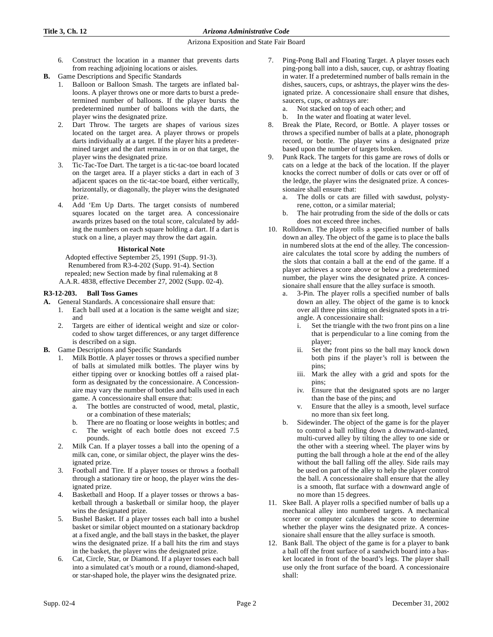- 6. Construct the location in a manner that prevents darts from reaching adjoining locations or aisles.
- **B.** Game Descriptions and Specific Standards
	- 1. Balloon or Balloon Smash. The targets are inflated balloons. A player throws one or more darts to burst a predetermined number of balloons. If the player bursts the predetermined number of balloons with the darts, the player wins the designated prize.
	- 2. Dart Throw. The targets are shapes of various sizes located on the target area. A player throws or propels darts individually at a target. If the player hits a predetermined target and the dart remains in or on that target, the player wins the designated prize.
	- 3. Tic-Tac-Toe Dart. The target is a tic-tac-toe board located on the target area. If a player sticks a dart in each of 3 adjacent spaces on the tic-tac-toe board, either vertically, horizontally, or diagonally, the player wins the designated prize.
	- 4. Add 'Em Up Darts. The target consists of numbered squares located on the target area. A concessionaire awards prizes based on the total score, calculated by adding the numbers on each square holding a dart. If a dart is stuck on a line, a player may throw the dart again.

# **Historical Note**

Adopted effective September 25, 1991 (Supp. 91-3). Renumbered from R3-4-202 (Supp. 91-4). Section repealed; new Section made by final rulemaking at 8 A.A.R. 4838, effective December 27, 2002 (Supp. 02-4).

# **R3-12-203. Ball Toss Games**

- **A.** General Standards. A concessionaire shall ensure that:
	- 1. Each ball used at a location is the same weight and size; and
	- 2. Targets are either of identical weight and size or colorcoded to show target differences, or any target difference is described on a sign.
- **B.** Game Descriptions and Specific Standards
	- 1. Milk Bottle. A player tosses or throws a specified number of balls at simulated milk bottles. The player wins by either tipping over or knocking bottles off a raised platform as designated by the concessionaire. A Concessionaire may vary the number of bottles and balls used in each game. A concessionaire shall ensure that:
		- a. The bottles are constructed of wood, metal, plastic, or a combination of these materials;
		- b. There are no floating or loose weights in bottles; and
		- c. The weight of each bottle does not exceed 7.5 pounds.
	- 2. Milk Can. If a player tosses a ball into the opening of a milk can, cone, or similar object, the player wins the designated prize.
	- 3. Football and Tire. If a player tosses or throws a football through a stationary tire or hoop, the player wins the designated prize.
	- Basketball and Hoop. If a player tosses or throws a basketball through a basketball or similar hoop, the player wins the designated prize.
	- 5. Bushel Basket. If a player tosses each ball into a bushel basket or similar object mounted on a stationary backdrop at a fixed angle, and the ball stays in the basket, the player wins the designated prize. If a ball hits the rim and stays in the basket, the player wins the designated prize.
	- 6. Cat, Circle, Star, or Diamond. If a player tosses each ball into a simulated cat's mouth or a round, diamond-shaped, or star-shaped hole, the player wins the designated prize.
- 7. Ping-Pong Ball and Floating Target. A player tosses each ping-pong ball into a dish, saucer, cup, or ashtray floating in water. If a predetermined number of balls remain in the dishes, saucers, cups, or ashtrays, the player wins the designated prize. A concessionaire shall ensure that dishes, saucers, cups, or ashtrays are:
	- a. Not stacked on top of each other; and
	- b. In the water and floating at water level.
- 8. Break the Plate, Record, or Bottle. A player tosses or throws a specified number of balls at a plate, phonograph record, or bottle. The player wins a designated prize based upon the number of targets broken.
- 9. Punk Rack. The targets for this game are rows of dolls or cats on a ledge at the back of the location. If the player knocks the correct number of dolls or cats over or off of the ledge, the player wins the designated prize. A concessionaire shall ensure that:
	- a. The dolls or cats are filled with sawdust, polystyrene, cotton, or a similar material;
	- b. The hair protruding from the side of the dolls or cats does not exceed three inches.
- 10. Rolldown. The player rolls a specified number of balls down an alley. The object of the game is to place the balls in numbered slots at the end of the alley. The concessionaire calculates the total score by adding the numbers of the slots that contain a ball at the end of the game. If a player achieves a score above or below a predetermined number, the player wins the designated prize. A concessionaire shall ensure that the alley surface is smooth.
	- a. 3-Pin. The player rolls a specified number of balls down an alley. The object of the game is to knock over all three pins sitting on designated spots in a triangle. A concessionaire shall:
		- i. Set the triangle with the two front pins on a line that is perpendicular to a line coming from the player;
		- ii. Set the front pins so the ball may knock down both pins if the player's roll is between the pins;
		- iii. Mark the alley with a grid and spots for the pins;
		- iv. Ensure that the designated spots are no larger than the base of the pins; and
		- v. Ensure that the alley is a smooth, level surface no more than six feet long.
	- Sidewinder. The object of the game is for the player to control a ball rolling down a downward-slanted, multi-curved alley by tilting the alley to one side or the other with a steering wheel. The player wins by putting the ball through a hole at the end of the alley without the ball falling off the alley. Side rails may be used on part of the alley to help the player control the ball. A concessionaire shall ensure that the alley is a smooth, flat surface with a downward angle of no more than 15 degrees.
- 11. Skee Ball. A player rolls a specified number of balls up a mechanical alley into numbered targets. A mechanical scorer or computer calculates the score to determine whether the player wins the designated prize. A concessionaire shall ensure that the alley surface is smooth.
- 12. Bank Ball. The object of the game is for a player to bank a ball off the front surface of a sandwich board into a basket located in front of the board's legs. The player shall use only the front surface of the board. A concessionaire shall: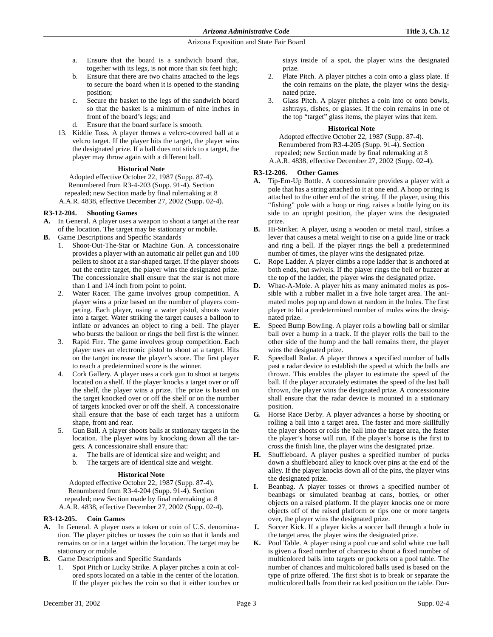- a. Ensure that the board is a sandwich board that, together with its legs, is not more than six feet high;
- b. Ensure that there are two chains attached to the legs to secure the board when it is opened to the standing position;
- c. Secure the basket to the legs of the sandwich board so that the basket is a minimum of nine inches in front of the board's legs; and
- Ensure that the board surface is smooth.
- 13. Kiddie Toss. A player throws a velcro-covered ball at a velcro target. If the player hits the target, the player wins the designated prize. If a ball does not stick to a target, the player may throw again with a different ball.

# **Historical Note**

Adopted effective October 22, 1987 (Supp. 87-4). Renumbered from R3-4-203 (Supp. 91-4). Section repealed; new Section made by final rulemaking at 8 A.A.R. 4838, effective December 27, 2002 (Supp. 02-4).

# **R3-12-204. Shooting Games**

- **A.** In General. A player uses a weapon to shoot a target at the rear of the location. The target may be stationary or mobile.
- **B.** Game Descriptions and Specific Standards
	- 1. Shoot-Out-The-Star or Machine Gun. A concessionaire provides a player with an automatic air pellet gun and 100 pellets to shoot at a star-shaped target. If the player shoots out the entire target, the player wins the designated prize. The concessionaire shall ensure that the star is not more than 1 and 1/4 inch from point to point.
	- Water Racer. The game involves group competition. A player wins a prize based on the number of players competing. Each player, using a water pistol, shoots water into a target. Water striking the target causes a balloon to inflate or advances an object to ring a bell. The player who bursts the balloon or rings the bell first is the winner.
	- 3. Rapid Fire. The game involves group competition. Each player uses an electronic pistol to shoot at a target. Hits on the target increase the player's score. The first player to reach a predetermined score is the winner.
	- 4. Cork Gallery. A player uses a cork gun to shoot at targets located on a shelf. If the player knocks a target over or off the shelf, the player wins a prize. The prize is based on the target knocked over or off the shelf or on the number of targets knocked over or off the shelf. A concessionaire shall ensure that the base of each target has a uniform shape, front and rear.
	- 5. Gun Ball. A player shoots balls at stationary targets in the location. The player wins by knocking down all the targets. A concessionaire shall ensure that:
		- a. The balls are of identical size and weight; and
		- b. The targets are of identical size and weight.

# **Historical Note**

Adopted effective October 22, 1987 (Supp. 87-4). Renumbered from R3-4-204 (Supp. 91-4). Section repealed; new Section made by final rulemaking at 8 A.A.R. 4838, effective December 27, 2002 (Supp. 02-4).

# **R3-12-205. Coin Games**

- **A.** In General. A player uses a token or coin of U.S. denomination. The player pitches or tosses the coin so that it lands and remains on or in a target within the location. The target may be stationary or mobile.
- **B.** Game Descriptions and Specific Standards
	- 1. Spot Pitch or Lucky Strike. A player pitches a coin at colored spots located on a table in the center of the location. If the player pitches the coin so that it either touches or

stays inside of a spot, the player wins the designated prize.

- 2. Plate Pitch. A player pitches a coin onto a glass plate. If the coin remains on the plate, the player wins the designated prize.
- Glass Pitch. A player pitches a coin into or onto bowls, ashtrays, dishes, or glasses. If the coin remains in one of the top "target" glass items, the player wins that item.

# **Historical Note**

Adopted effective October 22, 1987 (Supp. 87-4). Renumbered from R3-4-205 (Supp. 91-4). Section repealed; new Section made by final rulemaking at 8 A.A.R. 4838, effective December 27, 2002 (Supp. 02-4).

# **R3-12-206. Other Games**

- **A.** Tip-Em-Up Bottle. A concessionaire provides a player with a pole that has a string attached to it at one end. A hoop or ring is attached to the other end of the string. If the player, using this "fishing" pole with a hoop or ring, raises a bottle lying on its side to an upright position, the player wins the designated prize.
- **B.** Hi-Striker. A player, using a wooden or metal maul, strikes a lever that causes a metal weight to rise on a guide line or track and ring a bell. If the player rings the bell a predetermined number of times, the player wins the designated prize.
- **C.** Rope Ladder. A player climbs a rope ladder that is anchored at both ends, but swivels. If the player rings the bell or buzzer at the top of the ladder, the player wins the designated prize.
- **D.** Whac-A-Mole. A player hits as many animated moles as possible with a rubber mallet in a five hole target area. The animated moles pop up and down at random in the holes. The first player to hit a predetermined number of moles wins the designated prize.
- **E.** Speed Bump Bowling. A player rolls a bowling ball or similar ball over a hump in a track. If the player rolls the ball to the other side of the hump and the ball remains there, the player wins the designated prize.
- **F.** Speedball Radar. A player throws a specified number of balls past a radar device to establish the speed at which the balls are thrown. This enables the player to estimate the speed of the ball. If the player accurately estimates the speed of the last ball thrown, the player wins the designated prize. A concessionaire shall ensure that the radar device is mounted in a stationary position.
- **G.** Horse Race Derby. A player advances a horse by shooting or rolling a ball into a target area. The faster and more skillfully the player shoots or rolls the ball into the target area, the faster the player's horse will run. If the player's horse is the first to cross the finish line, the player wins the designated prize.
- Shuffleboard. A player pushes a specified number of pucks down a shuffleboard alley to knock over pins at the end of the alley. If the player knocks down all of the pins, the player wins the designated prize.
- **I.** Beanbag. A player tosses or throws a specified number of beanbags or simulated beanbag at cans, bottles, or other objects on a raised platform. If the player knocks one or more objects off of the raised platform or tips one or more targets over, the player wins the designated prize.
- **J.** Soccer Kick. If a player kicks a soccer ball through a hole in the target area, the player wins the designated prize.
- **K.** Pool Table. A player using a pool cue and solid white cue ball is given a fixed number of chances to shoot a fixed number of multicolored balls into targets or pockets on a pool table. The number of chances and multicolored balls used is based on the type of prize offered. The first shot is to break or separate the multicolored balls from their racked position on the table. Dur-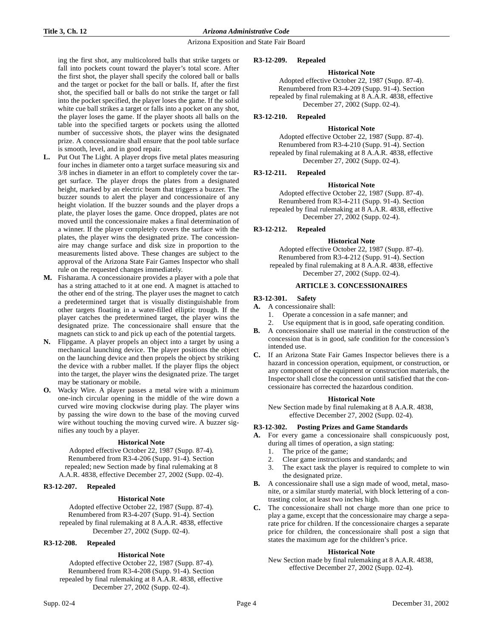ing the first shot, any multicolored balls that strike targets or fall into pockets count toward the player's total score. After the first shot, the player shall specify the colored ball or balls and the target or pocket for the ball or balls. If, after the first shot, the specified ball or balls do not strike the target or fall into the pocket specified, the player loses the game. If the solid white cue ball strikes a target or falls into a pocket on any shot, the player loses the game. If the player shoots all balls on the table into the specified targets or pockets using the allotted number of successive shots, the player wins the designated prize. A concessionaire shall ensure that the pool table surface is smooth, level, and in good repair.

- **L.** Put Out The Light. A player drops five metal plates measuring four inches in diameter onto a target surface measuring six and 3/8 inches in diameter in an effort to completely cover the target surface. The player drops the plates from a designated height, marked by an electric beam that triggers a buzzer. The buzzer sounds to alert the player and concessionaire of any height violation. If the buzzer sounds and the player drops a plate, the player loses the game. Once dropped, plates are not moved until the concessionaire makes a final determination of a winner. If the player completely covers the surface with the plates, the player wins the designated prize. The concessionaire may change surface and disk size in proportion to the measurements listed above. These changes are subject to the approval of the Arizona State Fair Games Inspector who shall rule on the requested changes immediately.
- **M.** Fisharama. A concessionaire provides a player with a pole that has a string attached to it at one end. A magnet is attached to the other end of the string. The player uses the magnet to catch a predetermined target that is visually distinguishable from other targets floating in a water-filled elliptic trough. If the player catches the predetermined target, the player wins the designated prize. The concessionaire shall ensure that the magnets can stick to and pick up each of the potential targets.
- **N.** Flipgame. A player propels an object into a target by using a mechanical launching device. The player positions the object on the launching device and then propels the object by striking the device with a rubber mallet. If the player flips the object into the target, the player wins the designated prize. The target may be stationary or mobile.
- **O.** Wacky Wire. A player passes a metal wire with a minimum one-inch circular opening in the middle of the wire down a curved wire moving clockwise during play. The player wins by passing the wire down to the base of the moving curved wire without touching the moving curved wire. A buzzer signifies any touch by a player.

# **Historical Note**

Adopted effective October 22, 1987 (Supp. 87-4). Renumbered from R3-4-206 (Supp. 91-4). Section repealed; new Section made by final rulemaking at 8 A.A.R. 4838, effective December 27, 2002 (Supp. 02-4).

# **R3-12-207. Repealed**

# **Historical Note**

Adopted effective October 22, 1987 (Supp. 87-4). Renumbered from R3-4-207 (Supp. 91-4). Section repealed by final rulemaking at 8 A.A.R. 4838, effective December 27, 2002 (Supp. 02-4).

# **R3-12-208. Repealed**

# **Historical Note**

Adopted effective October 22, 1987 (Supp. 87-4). Renumbered from R3-4-208 (Supp. 91-4). Section repealed by final rulemaking at 8 A.A.R. 4838, effective December 27, 2002 (Supp. 02-4).

# **R3-12-209. Repealed**

# **Historical Note**

Adopted effective October 22, 1987 (Supp. 87-4). Renumbered from R3-4-209 (Supp. 91-4). Section repealed by final rulemaking at 8 A.A.R. 4838, effective December 27, 2002 (Supp. 02-4).

**R3-12-210. Repealed**

#### **Historical Note**

Adopted effective October 22, 1987 (Supp. 87-4). Renumbered from R3-4-210 (Supp. 91-4). Section repealed by final rulemaking at 8 A.A.R. 4838, effective December 27, 2002 (Supp. 02-4).

# **R3-12-211. Repealed**

#### **Historical Note**

Adopted effective October 22, 1987 (Supp. 87-4). Renumbered from R3-4-211 (Supp. 91-4). Section repealed by final rulemaking at 8 A.A.R. 4838, effective December 27, 2002 (Supp. 02-4).

# **R3-12-212. Repealed**

# **Historical Note**

Adopted effective October 22, 1987 (Supp. 87-4). Renumbered from R3-4-212 (Supp. 91-4). Section repealed by final rulemaking at 8 A.A.R. 4838, effective December 27, 2002 (Supp. 02-4).

# **ARTICLE 3. CONCESSIONAIRES**

# **R3-12-301. Safety**

- **A.** A concessionaire shall:
	- 1. Operate a concession in a safe manner; and
	- 2. Use equipment that is in good, safe operating condition.
- **B.** A concessionaire shall use material in the construction of the concession that is in good, safe condition for the concession's intended use.
- **C.** If an Arizona State Fair Games Inspector believes there is a hazard in concession operation, equipment, or construction, or any component of the equipment or construction materials, the Inspector shall close the concession until satisfied that the concessionaire has corrected the hazardous condition.

#### **Historical Note**

New Section made by final rulemaking at 8 A.A.R. 4838, effective December 27, 2002 (Supp. 02-4).

# **R3-12-302. Posting Prizes and Game Standards**

- **A.** For every game a concessionaire shall conspicuously post, during all times of operation, a sign stating:
	- 1. The price of the game;
	- 2. Clear game instructions and standards; and
	- 3. The exact task the player is required to complete to win the designated prize.
- **B.** A concessionaire shall use a sign made of wood, metal, masonite, or a similar sturdy material, with block lettering of a contrasting color, at least two inches high.
- **C.** The concessionaire shall not charge more than one price to play a game, except that the concessionaire may charge a separate price for children. If the concessionaire charges a separate price for children, the concessionaire shall post a sign that states the maximum age for the children's price.

# **Historical Note**

New Section made by final rulemaking at 8 A.A.R. 4838, effective December 27, 2002 (Supp. 02-4).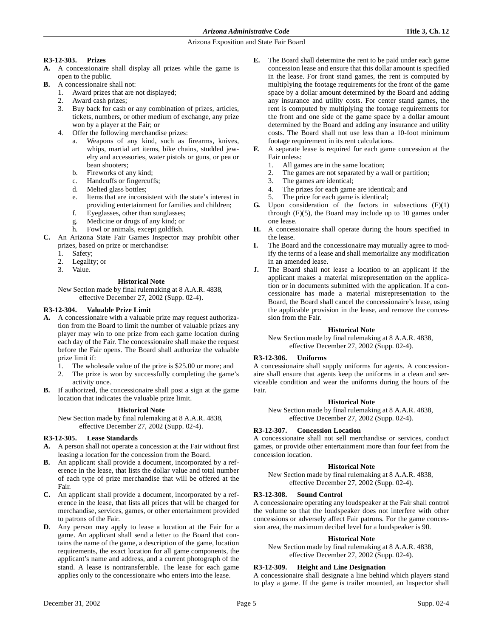# **R3-12-303. Prizes**

- **A.** A concessionaire shall display all prizes while the game is open to the public.
- **B.** A concessionaire shall not:
	- 1. Award prizes that are not displayed;
	- Award cash prizes;
	- 3. Buy back for cash or any combination of prizes, articles, tickets, numbers, or other medium of exchange, any prize won by a player at the Fair; or
	- 4. Offer the following merchandise prizes:
		- a. Weapons of any kind, such as firearms, knives, whips, martial art items, bike chains, studded jewelry and accessories, water pistols or guns, or pea or bean shooters;
		- b. Fireworks of any kind;
		- c. Handcuffs or fingercuffs;
		- d. Melted glass bottles;
		- e. Items that are inconsistent with the state's interest in providing entertainment for families and children;
		- f. Eyeglasses, other than sunglasses;
		- g. Medicine or drugs of any kind; or
		- h. Fowl or animals, except goldfish.
- **C.** An Arizona State Fair Games Inspector may prohibit other prizes, based on prize or merchandise:
	- 1. Safety;
	- 2. Legality; or 3. Value.
	- Value.

# **Historical Note**

New Section made by final rulemaking at 8 A.A.R. 4838, effective December 27, 2002 (Supp. 02-4).

# **R3-12-304. Valuable Prize Limit**

- **A.** A concessionaire with a valuable prize may request authorization from the Board to limit the number of valuable prizes any player may win to one prize from each game location during each day of the Fair. The concessionaire shall make the request before the Fair opens. The Board shall authorize the valuable prize limit if:
	- 1. The wholesale value of the prize is \$25.00 or more; and
	- 2. The prize is won by successfully completing the game's activity once.
- **B.** If authorized, the concessionaire shall post a sign at the game location that indicates the valuable prize limit.

#### **Historical Note**

New Section made by final rulemaking at 8 A.A.R. 4838, effective December 27, 2002 (Supp. 02-4).

# **R3-12-305. Lease Standards**

- **A.** A person shall not operate a concession at the Fair without first leasing a location for the concession from the Board.
- **B.** An applicant shall provide a document, incorporated by a reference in the lease, that lists the dollar value and total number of each type of prize merchandise that will be offered at the Fair.
- **C.** An applicant shall provide a document, incorporated by a reference in the lease, that lists all prices that will be charged for merchandise, services, games, or other entertainment provided to patrons of the Fair.
- **D**. Any person may apply to lease a location at the Fair for a game. An applicant shall send a letter to the Board that contains the name of the game, a description of the game, location requirements, the exact location for all game components, the applicant's name and address, and a current photograph of the stand. A lease is nontransferable. The lease for each game applies only to the concessionaire who enters into the lease.
- **E.** The Board shall determine the rent to be paid under each game concession lease and ensure that this dollar amount is specified in the lease. For front stand games, the rent is computed by multiplying the footage requirements for the front of the game space by a dollar amount determined by the Board and adding any insurance and utility costs. For center stand games, the rent is computed by multiplying the footage requirements for the front and one side of the game space by a dollar amount determined by the Board and adding any insurance and utility costs. The Board shall not use less than a 10-foot minimum footage requirement in its rent calculations.
- **F.** A separate lease is required for each game concession at the Fair unless:
	- 1. All games are in the same location;
	- 2. The games are not separated by a wall or partition;
	- 3. The games are identical;
	- 4. The prizes for each game are identical; and
	- 5. The price for each game is identical;
- **G.** Upon consideration of the factors in subsections (F)(1) through  $(F)(5)$ , the Board may include up to 10 games under one lease.
- **H.** A concessionaire shall operate during the hours specified in the lease.
- **I.** The Board and the concessionaire may mutually agree to modify the terms of a lease and shall memorialize any modification in an amended lease.
- **J.** The Board shall not lease a location to an applicant if the applicant makes a material misrepresentation on the application or in documents submitted with the application. If a concessionaire has made a material misrepresentation to the Board, the Board shall cancel the concessionaire's lease, using the applicable provision in the lease, and remove the concession from the Fair.

# **Historical Note**

New Section made by final rulemaking at 8 A.A.R. 4838, effective December 27, 2002 (Supp. 02-4).

# **R3-12-306. Uniforms**

A concessionaire shall supply uniforms for agents. A concessionaire shall ensure that agents keep the uniforms in a clean and serviceable condition and wear the uniforms during the hours of the Fair.

# **Historical Note**

New Section made by final rulemaking at 8 A.A.R. 4838, effective December 27, 2002 (Supp. 02-4).

# **R3-12-307. Concession Location**

A concessionaire shall not sell merchandise or services, conduct games, or provide other entertainment more than four feet from the concession location.

# **Historical Note**

New Section made by final rulemaking at 8 A.A.R. 4838, effective December 27, 2002 (Supp. 02-4).

# **R3-12-308. Sound Control**

A concessionaire operating any loudspeaker at the Fair shall control the volume so that the loudspeaker does not interfere with other concessions or adversely affect Fair patrons. For the game concession area, the maximum decibel level for a loudspeaker is 90.

# **Historical Note**

New Section made by final rulemaking at 8 A.A.R. 4838, effective December 27, 2002 (Supp. 02-4).

# **R3-12-309. Height and Line Designation**

A concessionaire shall designate a line behind which players stand to play a game. If the game is trailer mounted, an Inspector shall